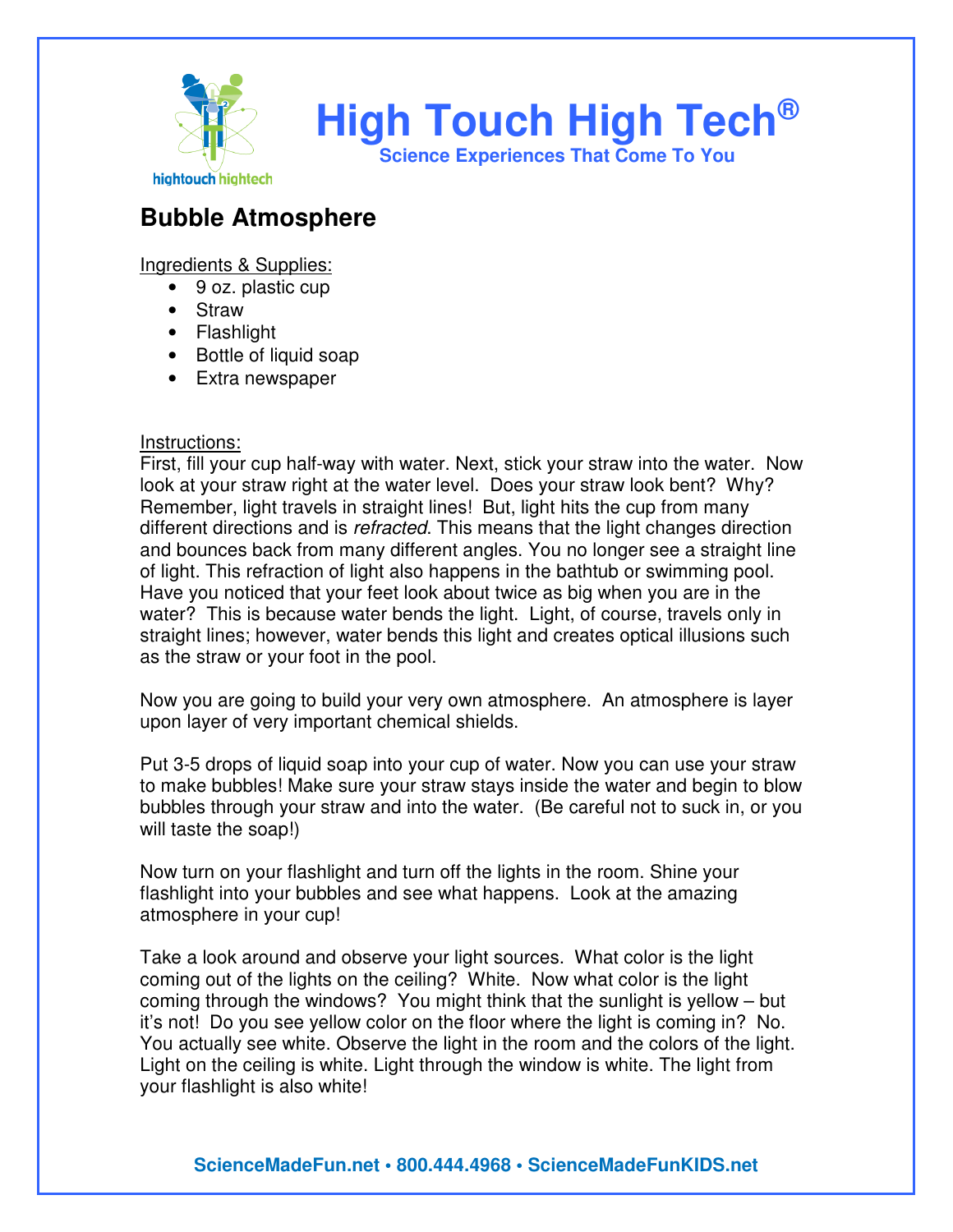

## **Bubble Atmosphere**

Ingredients & Supplies:

- 9 oz. plastic cup
- Straw
- Flashlight
- Bottle of liquid soap
- Extra newspaper

## Instructions:

First, fill your cup half-way with water. Next, stick your straw into the water. Now look at your straw right at the water level. Does your straw look bent? Why? Remember, light travels in straight lines! But, light hits the cup from many different directions and is *refracted*. This means that the light changes direction and bounces back from many different angles. You no longer see a straight line of light. This refraction of light also happens in the bathtub or swimming pool. Have you noticed that your feet look about twice as big when you are in the water? This is because water bends the light. Light, of course, travels only in straight lines; however, water bends this light and creates optical illusions such as the straw or your foot in the pool.

Now you are going to build your very own atmosphere. An atmosphere is layer upon layer of very important chemical shields.

Put 3-5 drops of liquid soap into your cup of water. Now you can use your straw to make bubbles! Make sure your straw stays inside the water and begin to blow bubbles through your straw and into the water. (Be careful not to suck in, or you will taste the soap!)

Now turn on your flashlight and turn off the lights in the room. Shine your flashlight into your bubbles and see what happens. Look at the amazing atmosphere in your cup!

Take a look around and observe your light sources. What color is the light coming out of the lights on the ceiling? White. Now what color is the light coming through the windows? You might think that the sunlight is yellow – but it's not! Do you see yellow color on the floor where the light is coming in? No. You actually see white. Observe the light in the room and the colors of the light. Light on the ceiling is white. Light through the window is white. The light from your flashlight is also white!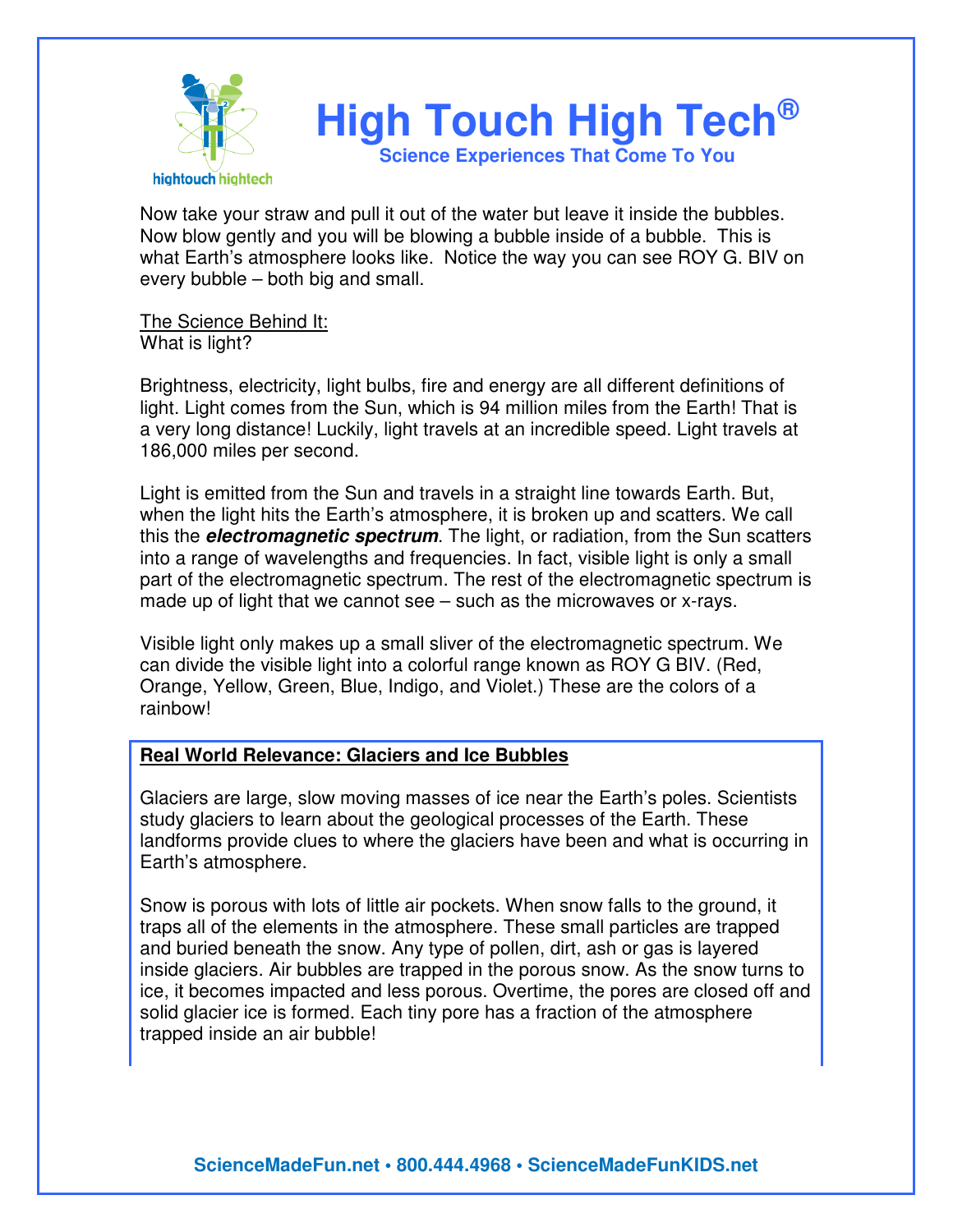

Now take your straw and pull it out of the water but leave it inside the bubbles. Now blow gently and you will be blowing a bubble inside of a bubble. This is what Earth's atmosphere looks like. Notice the way you can see ROY G. BIV on every bubble – both big and small.

The Science Behind It: What is light?

Brightness, electricity, light bulbs, fire and energy are all different definitions of light. Light comes from the Sun, which is 94 million miles from the Earth! That is a very long distance! Luckily, light travels at an incredible speed. Light travels at 186,000 miles per second.

Light is emitted from the Sun and travels in a straight line towards Earth. But, when the light hits the Earth's atmosphere, it is broken up and scatters. We call this the **electromagnetic spectrum**. The light, or radiation, from the Sun scatters into a range of wavelengths and frequencies. In fact, visible light is only a small part of the electromagnetic spectrum. The rest of the electromagnetic spectrum is made up of light that we cannot see – such as the microwaves or x-rays.

Visible light only makes up a small sliver of the electromagnetic spectrum. We can divide the visible light into a colorful range known as ROY G BIV. (Red, Orange, Yellow, Green, Blue, Indigo, and Violet.) These are the colors of a rainbow!

## **Real World Relevance: Glaciers and Ice Bubbles**

Glaciers are large, slow moving masses of ice near the Earth's poles. Scientists study glaciers to learn about the geological processes of the Earth. These landforms provide clues to where the glaciers have been and what is occurring in Earth's atmosphere.

Snow is porous with lots of little air pockets. When snow falls to the ground, it traps all of the elements in the atmosphere. These small particles are trapped and buried beneath the snow. Any type of pollen, dirt, ash or gas is layered inside glaciers. Air bubbles are trapped in the porous snow. As the snow turns to ice, it becomes impacted and less porous. Overtime, the pores are closed off and solid glacier ice is formed. Each tiny pore has a fraction of the atmosphere trapped inside an air bubble!